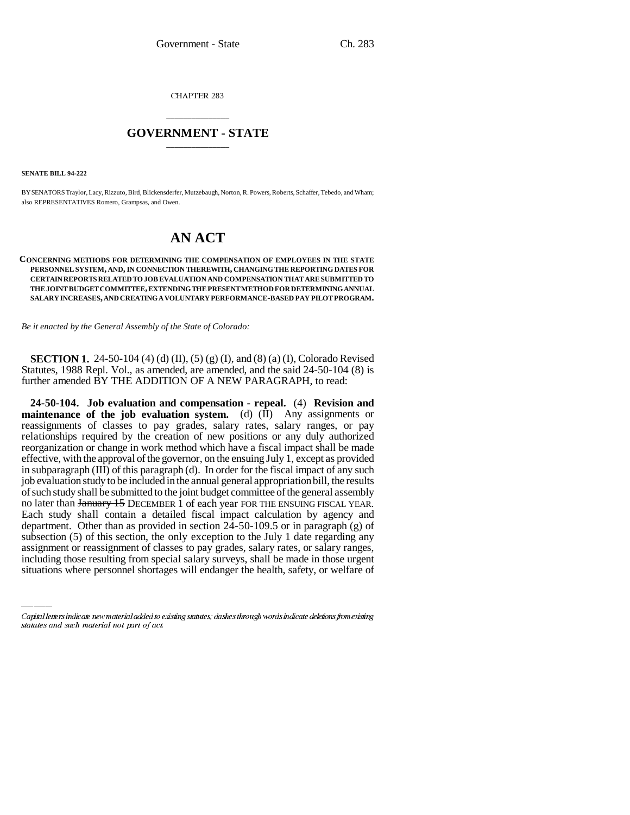CHAPTER 283

## \_\_\_\_\_\_\_\_\_\_\_\_\_\_\_ **GOVERNMENT - STATE** \_\_\_\_\_\_\_\_\_\_\_\_\_\_\_

**SENATE BILL 94-222**

BY SENATORS Traylor, Lacy, Rizzuto, Bird, Blickensderfer, Mutzebaugh, Norton, R. Powers, Roberts, Schaffer, Tebedo, and Wham; also REPRESENTATIVES Romero, Grampsas, and Owen.

## **AN ACT**

## **CONCERNING METHODS FOR DETERMINING THE COMPENSATION OF EMPLOYEES IN THE STATE PERSONNEL SYSTEM, AND, IN CONNECTION THEREWITH, CHANGING THE REPORTING DATES FOR CERTAIN REPORTS RELATED TO JOB EVALUATION AND COMPENSATION THAT ARE SUBMITTED TO THE JOINT BUDGET COMMITTEE, EXTENDING THE PRESENT METHOD FOR DETERMINING ANNUAL SALARY INCREASES, AND CREATING A VOLUNTARY PERFORMANCE-BASED PAY PILOT PROGRAM.**

*Be it enacted by the General Assembly of the State of Colorado:*

**SECTION 1.** 24-50-104 (4) (d) (II), (5) (g) (I), and (8) (a) (I), Colorado Revised Statutes, 1988 Repl. Vol., as amended, are amended, and the said 24-50-104 (8) is further amended BY THE ADDITION OF A NEW PARAGRAPH, to read:

department. Other than as provided in section 24-50-109.5 or in paragraph (g) of **24-50-104. Job evaluation and compensation - repeal.** (4) **Revision and maintenance of the job evaluation system.** (d) (II) Any assignments or reassignments of classes to pay grades, salary rates, salary ranges, or pay relationships required by the creation of new positions or any duly authorized reorganization or change in work method which have a fiscal impact shall be made effective, with the approval of the governor, on the ensuing July 1, except as provided in subparagraph (III) of this paragraph (d). In order for the fiscal impact of any such job evaluation study to be included in the annual general appropriation bill, the results of such study shall be submitted to the joint budget committee of the general assembly no later than January 15 DECEMBER 1 of each year FOR THE ENSUING FISCAL YEAR. Each study shall contain a detailed fiscal impact calculation by agency and subsection (5) of this section, the only exception to the July 1 date regarding any assignment or reassignment of classes to pay grades, salary rates, or salary ranges, including those resulting from special salary surveys, shall be made in those urgent situations where personnel shortages will endanger the health, safety, or welfare of

Capital letters indicate new material added to existing statutes; dashes through words indicate deletions from existing statutes and such material not part of act.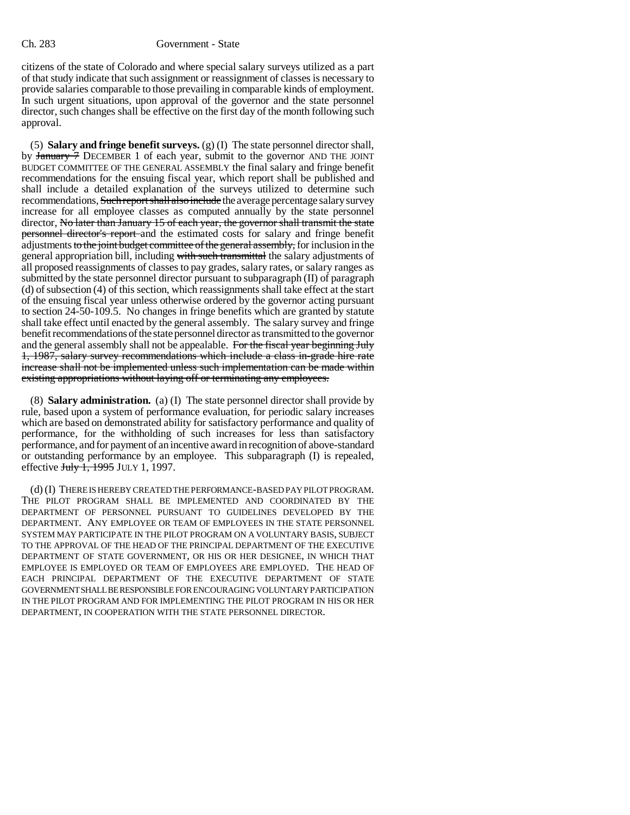citizens of the state of Colorado and where special salary surveys utilized as a part of that study indicate that such assignment or reassignment of classes is necessary to provide salaries comparable to those prevailing in comparable kinds of employment. In such urgent situations, upon approval of the governor and the state personnel director, such changes shall be effective on the first day of the month following such approval.

(5) **Salary and fringe benefit surveys.** (g) (I) The state personnel director shall, by January 7 DECEMBER 1 of each year, submit to the governor AND THE JOINT BUDGET COMMITTEE OF THE GENERAL ASSEMBLY the final salary and fringe benefit recommendations for the ensuing fiscal year, which report shall be published and shall include a detailed explanation of the surveys utilized to determine such recommendations, Such report shall also include the average percentage salary survey increase for all employee classes as computed annually by the state personnel director, No later than January 15 of each year, the governor shall transmit the state personnel director's report and the estimated costs for salary and fringe benefit adjustments to the joint budget committee of the general assembly, for inclusion in the general appropriation bill, including with such transmittal the salary adjustments of all proposed reassignments of classes to pay grades, salary rates, or salary ranges as submitted by the state personnel director pursuant to subparagraph (II) of paragraph (d) of subsection (4) of this section, which reassignments shall take effect at the start of the ensuing fiscal year unless otherwise ordered by the governor acting pursuant to section 24-50-109.5. No changes in fringe benefits which are granted by statute shall take effect until enacted by the general assembly. The salary survey and fringe benefit recommendations of the state personnel director as transmitted to the governor and the general assembly shall not be appealable. For the fiscal year beginning July 1, 1987, salary survey recommendations which include a class in-grade hire rate increase shall not be implemented unless such implementation can be made within existing appropriations without laying off or terminating any employees.

(8) **Salary administration.** (a) (I) The state personnel director shall provide by rule, based upon a system of performance evaluation, for periodic salary increases which are based on demonstrated ability for satisfactory performance and quality of performance, for the withholding of such increases for less than satisfactory performance, and for payment of an incentive award in recognition of above-standard or outstanding performance by an employee. This subparagraph (I) is repealed, effective July 1, 1995 JULY 1, 1997.

(d) (I) THERE IS HEREBY CREATED THE PERFORMANCE-BASED PAY PILOT PROGRAM. THE PILOT PROGRAM SHALL BE IMPLEMENTED AND COORDINATED BY THE DEPARTMENT OF PERSONNEL PURSUANT TO GUIDELINES DEVELOPED BY THE DEPARTMENT. ANY EMPLOYEE OR TEAM OF EMPLOYEES IN THE STATE PERSONNEL SYSTEM MAY PARTICIPATE IN THE PILOT PROGRAM ON A VOLUNTARY BASIS, SUBJECT TO THE APPROVAL OF THE HEAD OF THE PRINCIPAL DEPARTMENT OF THE EXECUTIVE DEPARTMENT OF STATE GOVERNMENT, OR HIS OR HER DESIGNEE, IN WHICH THAT EMPLOYEE IS EMPLOYED OR TEAM OF EMPLOYEES ARE EMPLOYED. THE HEAD OF EACH PRINCIPAL DEPARTMENT OF THE EXECUTIVE DEPARTMENT OF STATE GOVERNMENT SHALL BE RESPONSIBLE FOR ENCOURAGING VOLUNTARY PARTICIPATION IN THE PILOT PROGRAM AND FOR IMPLEMENTING THE PILOT PROGRAM IN HIS OR HER DEPARTMENT, IN COOPERATION WITH THE STATE PERSONNEL DIRECTOR.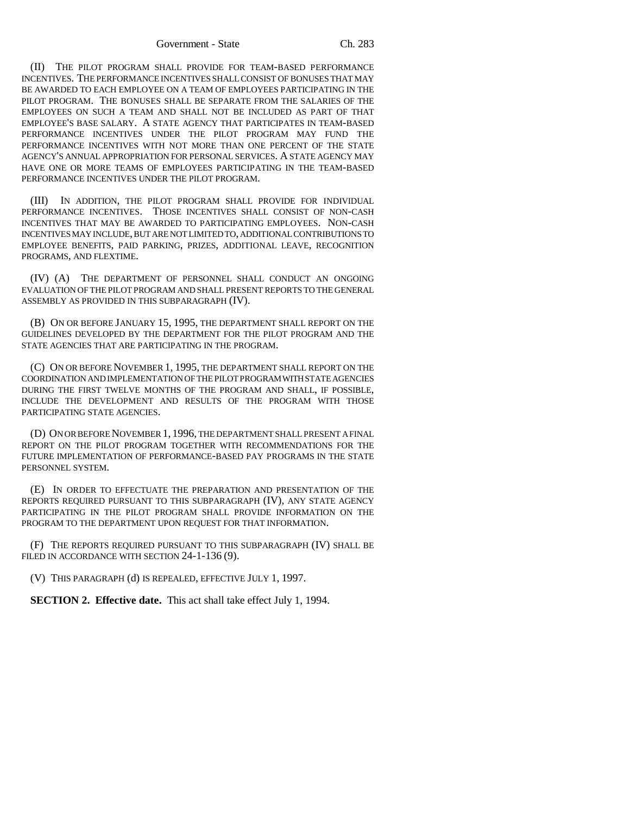(II) THE PILOT PROGRAM SHALL PROVIDE FOR TEAM-BASED PERFORMANCE INCENTIVES. THE PERFORMANCE INCENTIVES SHALL CONSIST OF BONUSES THAT MAY BE AWARDED TO EACH EMPLOYEE ON A TEAM OF EMPLOYEES PARTICIPATING IN THE PILOT PROGRAM. THE BONUSES SHALL BE SEPARATE FROM THE SALARIES OF THE EMPLOYEES ON SUCH A TEAM AND SHALL NOT BE INCLUDED AS PART OF THAT EMPLOYEE'S BASE SALARY. A STATE AGENCY THAT PARTICIPATES IN TEAM-BASED PERFORMANCE INCENTIVES UNDER THE PILOT PROGRAM MAY FUND THE PERFORMANCE INCENTIVES WITH NOT MORE THAN ONE PERCENT OF THE STATE AGENCY'S ANNUAL APPROPRIATION FOR PERSONAL SERVICES. A STATE AGENCY MAY HAVE ONE OR MORE TEAMS OF EMPLOYEES PARTICIPATING IN THE TEAM-BASED PERFORMANCE INCENTIVES UNDER THE PILOT PROGRAM.

(III) IN ADDITION, THE PILOT PROGRAM SHALL PROVIDE FOR INDIVIDUAL PERFORMANCE INCENTIVES. THOSE INCENTIVES SHALL CONSIST OF NON-CASH INCENTIVES THAT MAY BE AWARDED TO PARTICIPATING EMPLOYEES. NON-CASH INCENTIVES MAY INCLUDE, BUT ARE NOT LIMITED TO, ADDITIONAL CONTRIBUTIONS TO EMPLOYEE BENEFITS, PAID PARKING, PRIZES, ADDITIONAL LEAVE, RECOGNITION PROGRAMS, AND FLEXTIME.

(IV) (A) THE DEPARTMENT OF PERSONNEL SHALL CONDUCT AN ONGOING EVALUATION OF THE PILOT PROGRAM AND SHALL PRESENT REPORTS TO THE GENERAL ASSEMBLY AS PROVIDED IN THIS SUBPARAGRAPH (IV).

(B) ON OR BEFORE JANUARY 15, 1995, THE DEPARTMENT SHALL REPORT ON THE GUIDELINES DEVELOPED BY THE DEPARTMENT FOR THE PILOT PROGRAM AND THE STATE AGENCIES THAT ARE PARTICIPATING IN THE PROGRAM.

(C) ON OR BEFORE NOVEMBER 1, 1995, THE DEPARTMENT SHALL REPORT ON THE COORDINATION AND IMPLEMENTATION OF THE PILOT PROGRAM WITH STATE AGENCIES DURING THE FIRST TWELVE MONTHS OF THE PROGRAM AND SHALL, IF POSSIBLE, INCLUDE THE DEVELOPMENT AND RESULTS OF THE PROGRAM WITH THOSE PARTICIPATING STATE AGENCIES.

(D) ON OR BEFORE NOVEMBER 1, 1996, THE DEPARTMENT SHALL PRESENT A FINAL REPORT ON THE PILOT PROGRAM TOGETHER WITH RECOMMENDATIONS FOR THE FUTURE IMPLEMENTATION OF PERFORMANCE-BASED PAY PROGRAMS IN THE STATE PERSONNEL SYSTEM.

(E) IN ORDER TO EFFECTUATE THE PREPARATION AND PRESENTATION OF THE REPORTS REQUIRED PURSUANT TO THIS SUBPARAGRAPH (IV), ANY STATE AGENCY PARTICIPATING IN THE PILOT PROGRAM SHALL PROVIDE INFORMATION ON THE PROGRAM TO THE DEPARTMENT UPON REQUEST FOR THAT INFORMATION.

(F) THE REPORTS REQUIRED PURSUANT TO THIS SUBPARAGRAPH (IV) SHALL BE FILED IN ACCORDANCE WITH SECTION 24-1-136 (9).

(V) THIS PARAGRAPH (d) IS REPEALED, EFFECTIVE JULY 1, 1997.

**SECTION 2. Effective date.** This act shall take effect July 1, 1994.